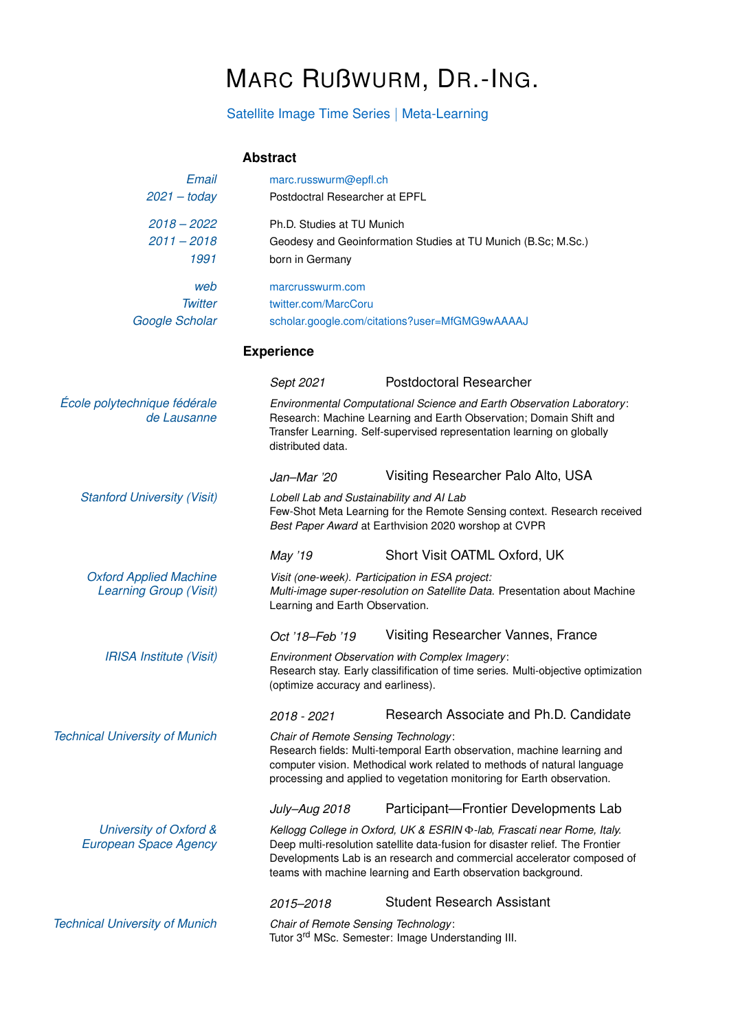## MARC RUßWURM, DR.-ING.

## Satellite Image Time Series | Meta-Learning

## **Abstract**

| Email                                                          | marc.russwurm@epfl.ch                                                                                                                                                                                                                                               |                                                                                                                                                                                                                                                                                                           |  |
|----------------------------------------------------------------|---------------------------------------------------------------------------------------------------------------------------------------------------------------------------------------------------------------------------------------------------------------------|-----------------------------------------------------------------------------------------------------------------------------------------------------------------------------------------------------------------------------------------------------------------------------------------------------------|--|
| $2021 -$ today                                                 | Postdoctral Researcher at EPFL                                                                                                                                                                                                                                      |                                                                                                                                                                                                                                                                                                           |  |
| $2018 - 2022$                                                  | Ph.D. Studies at TU Munich                                                                                                                                                                                                                                          |                                                                                                                                                                                                                                                                                                           |  |
| $2011 - 2018$                                                  |                                                                                                                                                                                                                                                                     | Geodesy and Geoinformation Studies at TU Munich (B.Sc; M.Sc.)                                                                                                                                                                                                                                             |  |
| 1991                                                           | born in Germany                                                                                                                                                                                                                                                     |                                                                                                                                                                                                                                                                                                           |  |
| web                                                            | marcrusswurm.com                                                                                                                                                                                                                                                    |                                                                                                                                                                                                                                                                                                           |  |
| <b>Twitter</b>                                                 | twitter.com/MarcCoru                                                                                                                                                                                                                                                |                                                                                                                                                                                                                                                                                                           |  |
| Google Scholar                                                 |                                                                                                                                                                                                                                                                     | scholar.google.com/citations?user=MfGMG9wAAAAJ                                                                                                                                                                                                                                                            |  |
|                                                                | <b>Experience</b>                                                                                                                                                                                                                                                   |                                                                                                                                                                                                                                                                                                           |  |
|                                                                | Sept 2021                                                                                                                                                                                                                                                           | Postdoctoral Researcher                                                                                                                                                                                                                                                                                   |  |
| École polytechnique fédérale<br>de Lausanne                    | Environmental Computational Science and Earth Observation Laboratory:<br>Research: Machine Learning and Earth Observation; Domain Shift and<br>Transfer Learning. Self-supervised representation learning on globally<br>distributed data.                          |                                                                                                                                                                                                                                                                                                           |  |
|                                                                | Jan-Mar '20                                                                                                                                                                                                                                                         | Visiting Researcher Palo Alto, USA                                                                                                                                                                                                                                                                        |  |
| <b>Stanford University (Visit)</b>                             | Lobell Lab and Sustainability and AI Lab<br>Few-Shot Meta Learning for the Remote Sensing context. Research received<br>Best Paper Award at Earthvision 2020 worshop at CVPR                                                                                        |                                                                                                                                                                                                                                                                                                           |  |
|                                                                | May '19                                                                                                                                                                                                                                                             | Short Visit OATML Oxford, UK                                                                                                                                                                                                                                                                              |  |
| <b>Oxford Applied Machine</b><br><b>Learning Group (Visit)</b> | Learning and Earth Observation.                                                                                                                                                                                                                                     | Visit (one-week). Participation in ESA project:<br>Multi-image super-resolution on Satellite Data. Presentation about Machine                                                                                                                                                                             |  |
|                                                                | Oct '18-Feb '19                                                                                                                                                                                                                                                     | Visiting Researcher Vannes, France                                                                                                                                                                                                                                                                        |  |
| <b>IRISA Institute (Visit)</b>                                 | Environment Observation with Complex Imagery:<br>Research stay. Early classifification of time series. Multi-objective optimization<br>(optimize accuracy and earliness).                                                                                           |                                                                                                                                                                                                                                                                                                           |  |
|                                                                | 2018 - 2021                                                                                                                                                                                                                                                         | Research Associate and Ph.D. Candidate                                                                                                                                                                                                                                                                    |  |
| <b>Technical University of Munich</b>                          | Chair of Remote Sensing Technology:<br>Research fields: Multi-temporal Earth observation, machine learning and<br>computer vision. Methodical work related to methods of natural language<br>processing and applied to vegetation monitoring for Earth observation. |                                                                                                                                                                                                                                                                                                           |  |
|                                                                | July-Aug 2018                                                                                                                                                                                                                                                       | Participant-Frontier Developments Lab                                                                                                                                                                                                                                                                     |  |
| University of Oxford &<br><b>European Space Agency</b>         |                                                                                                                                                                                                                                                                     | Kellogg College in Oxford, UK & ESRIN $\Phi$ -lab, Frascati near Rome, Italy.<br>Deep multi-resolution satellite data-fusion for disaster relief. The Frontier<br>Developments Lab is an research and commercial accelerator composed of<br>teams with machine learning and Earth observation background. |  |
|                                                                | 2015-2018                                                                                                                                                                                                                                                           | <b>Student Research Assistant</b>                                                                                                                                                                                                                                                                         |  |
| <b>Technical University of Munich</b>                          | Chair of Remote Sensing Technology:                                                                                                                                                                                                                                 | Tutor 3 <sup>rd</sup> MSc. Semester: Image Understanding III.                                                                                                                                                                                                                                             |  |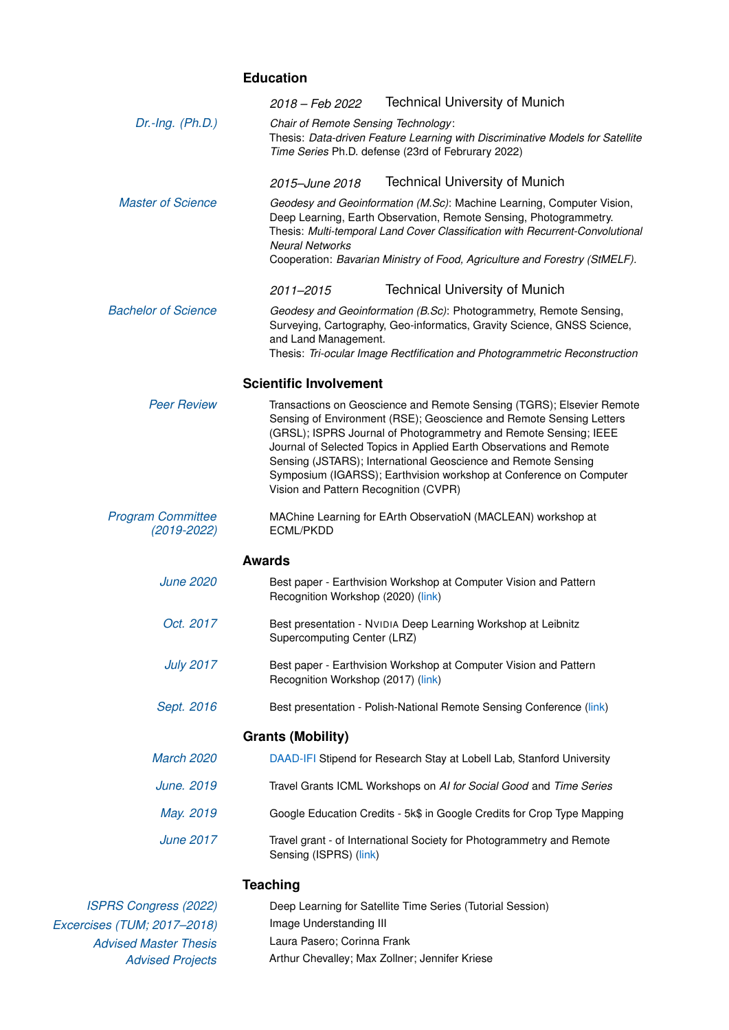## **Education**

|                                             | <b>Technical University of Munich</b><br>2018 – Feb 2022                                                                                                                                                                                                                                                                                                                                                                                                                |
|---------------------------------------------|-------------------------------------------------------------------------------------------------------------------------------------------------------------------------------------------------------------------------------------------------------------------------------------------------------------------------------------------------------------------------------------------------------------------------------------------------------------------------|
| $Dr.-Ing. (Ph.D.)$                          | Chair of Remote Sensing Technology:<br>Thesis: Data-driven Feature Learning with Discriminative Models for Satellite<br>Time Series Ph.D. defense (23rd of Februrary 2022)                                                                                                                                                                                                                                                                                              |
|                                             | <b>Technical University of Munich</b><br>2015–June 2018                                                                                                                                                                                                                                                                                                                                                                                                                 |
| <b>Master of Science</b>                    | Geodesy and Geoinformation (M.Sc): Machine Learning, Computer Vision,<br>Deep Learning, Earth Observation, Remote Sensing, Photogrammetry.<br>Thesis: Multi-temporal Land Cover Classification with Recurrent-Convolutional<br><b>Neural Networks</b><br>Cooperation: Bavarian Ministry of Food, Agriculture and Forestry (StMELF).                                                                                                                                     |
|                                             | <b>Technical University of Munich</b><br>2011-2015                                                                                                                                                                                                                                                                                                                                                                                                                      |
| <b>Bachelor of Science</b>                  | Geodesy and Geoinformation (B.Sc): Photogrammetry, Remote Sensing,<br>Surveying, Cartography, Geo-informatics, Gravity Science, GNSS Science,<br>and Land Management.<br>Thesis: Tri-ocular Image Rectfification and Photogrammetric Reconstruction                                                                                                                                                                                                                     |
|                                             |                                                                                                                                                                                                                                                                                                                                                                                                                                                                         |
| <b>Peer Review</b>                          | <b>Scientific Involvement</b>                                                                                                                                                                                                                                                                                                                                                                                                                                           |
|                                             | Transactions on Geoscience and Remote Sensing (TGRS); Elsevier Remote<br>Sensing of Environment (RSE); Geoscience and Remote Sensing Letters<br>(GRSL); ISPRS Journal of Photogrammetry and Remote Sensing; IEEE<br>Journal of Selected Topics in Applied Earth Observations and Remote<br>Sensing (JSTARS); International Geoscience and Remote Sensing<br>Symposium (IGARSS); Earthvision workshop at Conference on Computer<br>Vision and Pattern Recognition (CVPR) |
| <b>Program Committee</b><br>$(2019 - 2022)$ | MAChine Learning for EArth ObservatioN (MACLEAN) workshop at<br><b>ECML/PKDD</b>                                                                                                                                                                                                                                                                                                                                                                                        |
|                                             | <b>Awards</b>                                                                                                                                                                                                                                                                                                                                                                                                                                                           |
| <b>June 2020</b>                            | Best paper - Earthvision Workshop at Computer Vision and Pattern<br>Recognition Workshop (2020) (link)                                                                                                                                                                                                                                                                                                                                                                  |
| Oct. 2017                                   | Best presentation - NVIDIA Deep Learning Workshop at Leibnitz<br>Supercomputing Center (LRZ)                                                                                                                                                                                                                                                                                                                                                                            |
| <b>July 2017</b>                            | Best paper - Earthvision Workshop at Computer Vision and Pattern<br>Recognition Workshop (2017) (link)                                                                                                                                                                                                                                                                                                                                                                  |
| Sept. 2016                                  | Best presentation - Polish-National Remote Sensing Conference (link)                                                                                                                                                                                                                                                                                                                                                                                                    |
|                                             | <b>Grants (Mobility)</b>                                                                                                                                                                                                                                                                                                                                                                                                                                                |
| <b>March 2020</b>                           | DAAD-IFI Stipend for Research Stay at Lobell Lab, Stanford University                                                                                                                                                                                                                                                                                                                                                                                                   |
| June. 2019                                  | Travel Grants ICML Workshops on AI for Social Good and Time Series                                                                                                                                                                                                                                                                                                                                                                                                      |
| May. 2019                                   | Google Education Credits - 5k\$ in Google Credits for Crop Type Mapping                                                                                                                                                                                                                                                                                                                                                                                                 |
| <b>June 2017</b>                            | Travel grant - of International Society for Photogrammetry and Remote<br>Sensing (ISPRS) (link)                                                                                                                                                                                                                                                                                                                                                                         |
|                                             | <b>Teaching</b>                                                                                                                                                                                                                                                                                                                                                                                                                                                         |
|                                             |                                                                                                                                                                                                                                                                                                                                                                                                                                                                         |

| <b>ISPRS Congress (2022)</b> | Deep Learning for Satellite Time Series (Tutorial Session) |
|------------------------------|------------------------------------------------------------|
| Excercises (TUM; 2017-2018)  | Image Understanding III                                    |
| <b>Advised Master Thesis</b> | Laura Pasero; Corinna Frank                                |
| <b>Advised Projects</b>      | Arthur Chevalley; Max Zollner; Jennifer Kriese             |
|                              |                                                            |